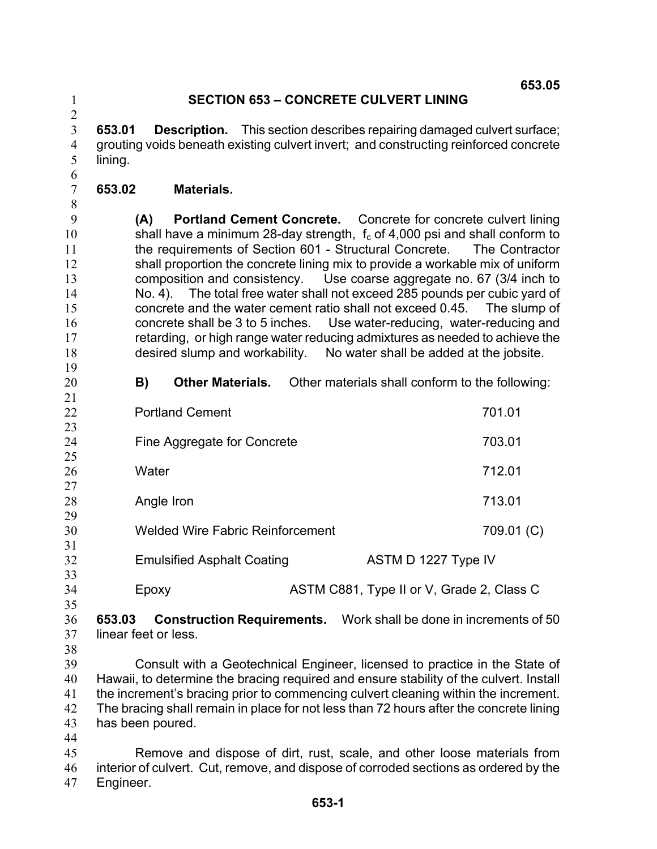## **SECTION 653 – CONCRETE CULVERT LINING**

3 4 5 **653.01 Description.** This section describes repairing damaged culvert surface; grouting voids beneath existing culvert invert; and constructing reinforced concrete lining.

- 7 **653.02 Materials.**
- 8

20 21

6

1 2

9 10 11 12 13 14 15 16 17 18 19 **(A) Portland Cement Concrete.** Concrete for concrete culvert lining shall have a minimum 28-day strength,  $f_c$  of 4,000 psi and shall conform to the requirements of Section 601 - Structural Concrete. The Contractor shall proportion the concrete lining mix to provide a workable mix of uniform composition and consistency. Use coarse aggregate no. 67 (3/4 inch to No. 4). The total free water shall not exceed 285 pounds per cubic yard of concrete and the water cement ratio shall not exceed 0.45. The slump of concrete shall be 3 to 5 inches. Use water-reducing, water-reducing and retarding, or high range water reducing admixtures as needed to achieve the desired slump and workability. No water shall be added at the jobsite.

**B) Other Materials.** Other materials shall conform to the following:

| 22 | <b>Portland Cement</b>                  | 701.01                                    |
|----|-----------------------------------------|-------------------------------------------|
| 23 |                                         |                                           |
| 24 | Fine Aggregate for Concrete             | 703.01                                    |
| 25 |                                         |                                           |
| 26 | Water                                   | 712.01                                    |
| 27 |                                         |                                           |
| 28 | Angle Iron                              | 713.01                                    |
| 29 |                                         |                                           |
| 30 | <b>Welded Wire Fabric Reinforcement</b> | 709.01 (C)                                |
| 31 |                                         |                                           |
| 32 | <b>Emulsified Asphalt Coating</b>       | ASTM D 1227 Type IV                       |
| 33 |                                         |                                           |
| 34 | Epoxy                                   | ASTM C881, Type II or V, Grade 2, Class C |

34 35

36 37 **653.03 Construction Requirements.** Work shall be done in increments of 50 linear feet or less.

38

39 40 41 42 43 Consult with a Geotechnical Engineer, licensed to practice in the State of Hawaii, to determine the bracing required and ensure stability of the culvert. Install the increment's bracing prior to commencing culvert cleaning within the increment. The bracing shall remain in place for not less than 72 hours after the concrete lining has been poured.

44

45 46 47 Remove and dispose of dirt, rust, scale, and other loose materials from interior of culvert. Cut, remove, and dispose of corroded sections as ordered by the Engineer.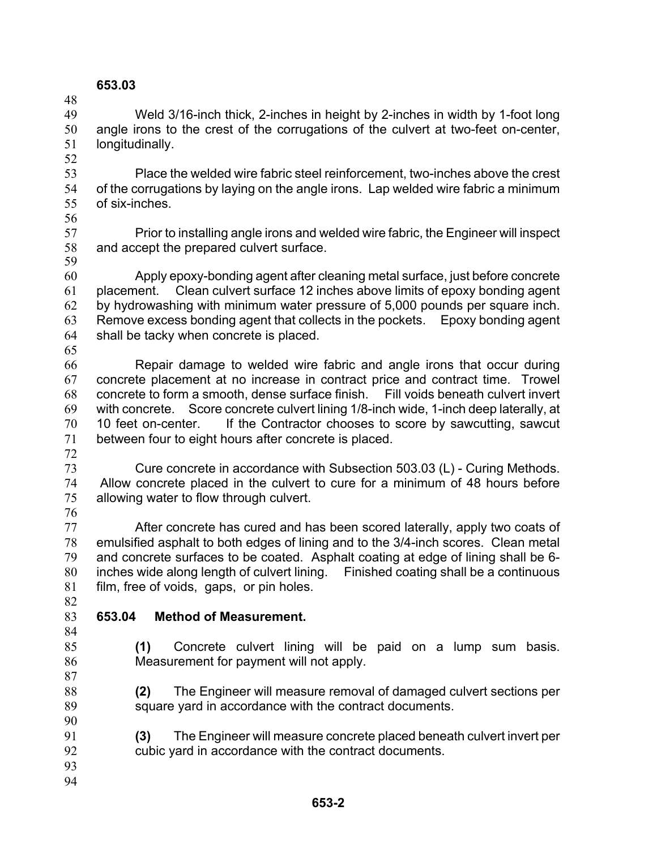## **653.03**

49 50 51 52 Weld 3/16-inch thick, 2-inches in height by 2-inches in width by 1-foot long angle irons to the crest of the corrugations of the culvert at two-feet on-center, longitudinally.

- 53 54 55 Place the welded wire fabric steel reinforcement, two-inches above the crest of the corrugations by laying on the angle irons. Lap welded wire fabric a minimum of six-inches.
- 56

48

57 58 59 Prior to installing angle irons and welded wire fabric, the Engineer will inspect and accept the prepared culvert surface.

60 61 62 63 64 Apply epoxy-bonding agent after cleaning metal surface, just before concrete placement. Clean culvert surface 12 inches above limits of epoxy bonding agent by hydrowashing with minimum water pressure of 5,000 pounds per square inch. Remove excess bonding agent that collects in the pockets. Epoxy bonding agent shall be tacky when concrete is placed.

65

66 67 68 69 70 71 Repair damage to welded wire fabric and angle irons that occur during concrete placement at no increase in contract price and contract time. Trowel concrete to form a smooth, dense surface finish. Fill voids beneath culvert invert with concrete. Score concrete culvert lining 1/8-inch wide, 1-inch deep laterally, at 10 feet on-center. If the Contractor chooses to score by sawcutting, sawcut between four to eight hours after concrete is placed.

72

73 74 75 76 Cure concrete in accordance with Subsection 503.03 (L) - Curing Methods. Allow concrete placed in the culvert to cure for a minimum of 48 hours before allowing water to flow through culvert.

77 78 79 80 81 After concrete has cured and has been scored laterally, apply two coats of emulsified asphalt to both edges of lining and to the 3/4-inch scores. Clean metal and concrete surfaces to be coated. Asphalt coating at edge of lining shall be 6 inches wide along length of culvert lining. Finished coating shall be a continuous film, free of voids, gaps, or pin holes.

82 83

## **653.04 Method of Measurement.**

84 85

**(1)** Concrete culvert lining will be paid on a lump sum basis. Measurement for payment will not apply.

**(2)** The Engineer will measure removal of damaged culvert sections per square yard in accordance with the contract documents.

- 91 92 **(3)** The Engineer will measure concrete placed beneath culvert invert per cubic yard in accordance with the contract documents.
- 93